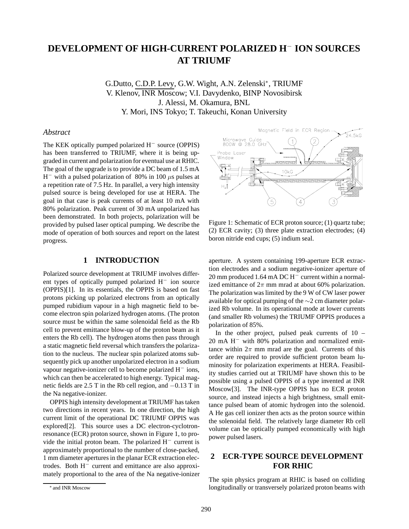# **DEVELOPMENT OF HIGH-CURRENT POLARIZED H**<sup>−</sup> **ION SOURCES AT TRIUMF**

G.Dutto, C.D.P. Levy, G.W. Wight, A.N. Zelenski∗, TRIUMF V. Klenov, INR Moscow; V.I. Davydenko, BINP Novosibirsk J. Alessi, M. Okamura, BNL Y. Mori, INS Tokyo; T. Takeuchi, Konan University

## *Abstract*

The KEK optically pumped polarized H<sup>−</sup> source (OPPIS) has been transferred to TRIUMF, where it is being upgraded in current and polarization for eventual use at RHIC. The goal of the upgrade is to provide a DC beam of 1.5 mA H<sup>-</sup> with a pulsed polarization of 80% in 100  $\mu$ s pulses at a repetition rate of 7.5 Hz. In parallel, a very high intensity pulsed source is being developed for use at HERA. The goal in that case is peak currents of at least 10 mA with 80% polarization. Peak current of 30 mA unpolarized has been demonstrated. In both projects, polarization will be provided by pulsed laser optical pumping. We describe the mode of operation of both sources and report on the latest progress.

## **1 INTRODUCTION**

Polarized source development at TRIUMF involves different types of optically pumped polarized H<sup>−</sup> ion source (OPPIS)[1]. In its essentials, the OPPIS is based on fast protons picking up polarized electrons from an optically pumped rubidium vapour in a high magnetic field to become electron spin polarized hydrogen atoms. (The proton source must be within the same solenoidal field as the Rb cell to prevent emittance blow-up of the proton beam as it enters the Rb cell). The hydrogen atoms then pass through a static magnetic field reversal which transfers the polarization to the nucleus. The nuclear spin polarized atoms subsequently pick up another unpolarized electron in a sodium vapour negative-ionizer cell to become polarized H<sup>−</sup> ions, which can then be accelerated to high energy. Typical magnetic fields are 2.5 T in the Rb cell region, and −0.13 T in the Na negative-ionizer.

OPPIS high intensity development at TRIUMF has taken two directions in recent years. In one direction, the high current limit of the operational DC TRIUMF OPPIS was explored[2]. This source uses a DC electron-cyclotronresonance (ECR) proton source, shown in Figure 1, to provide the initial proton beam. The polarized H− current is approximately proportional to the number of close-packed, 1 mm diameter apertures in the planar ECR extraction electrodes. Both H<sup>−</sup> current and emittance are also approximately proportional to the area of the Na negative-ionizer



Figure 1: Schematic of ECR proton source; (1) quartz tube; (2) ECR cavity; (3) three plate extraction electrodes; (4) boron nitride end cups; (5) indium seal.

aperture. A system containing 199-aperture ECR extraction electrodes and a sodium negative-ionizer aperture of 20 mm produced 1.64 mA DC H<sup>−</sup> current within a normalized emittance of  $2\pi$  mm mrad at about 60% polarization. The polarization was limited by the 9 W of CW laser power available for optical pumping of the ∼2 cm diameter polarized Rb volume. In its operational mode at lower currents (and smaller Rb volumes) the TRIUMF OPPIS produces a polarization of 85%.

In the other project, pulsed peak currents of  $10 -$ 20 mA H<sup>−</sup> with 80% polarization and normalized emittance within  $2\pi$  mm mrad are the goal. Currents of this order are required to provide sufficient proton beam luminosity for polarization experiments at HERA. Feasibility studies carried out at TRIUMF have shown this to be possible using a pulsed OPPIS of a type invented at INR Moscow[3]. The INR-type OPPIS has no ECR proton source, and instead injects a high brightness, small emittance pulsed beam of atomic hydrogen into the solenoid. A He gas cell ionizer then acts as the proton source within the solenoidal field. The relatively large diameter Rb cell volume can be optically pumped economically with high power pulsed lasers.

# **2 ECR-TYPE SOURCE DEVELOPMENT FOR RHIC**

The spin physics program at RHIC is based on colliding longitudinally or transversely polarized proton beams with

<sup>∗</sup> and INR Moscow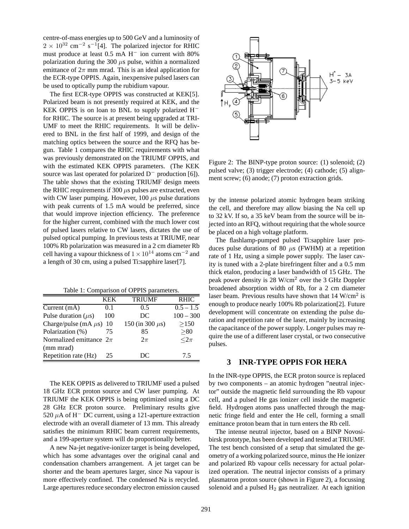centre-of-mass energies up to 500 GeV and a luminosity of  $2 \times 10^{32}$  cm<sup>-2</sup> s<sup>-1</sup>[4]. The polarized injector for RHIC must produce at least 0.5 mA H<sup>−</sup> ion current with 80% polarization during the 300  $\mu$ s pulse, within a normalized emittance of  $2\pi$  mm mrad. This is an ideal application for the ECR-type OPPIS. Again, inexpensive pulsed lasers can be used to optically pump the rubidium vapour.

The first ECR-type OPPIS was constructed at KEK[5]. Polarized beam is not presently required at KEK, and the KEK OPPIS is on loan to BNL to supply polarized H<sup>−</sup> for RHIC. The source is at present being upgraded at TRI-UMF to meet the RHIC requirements. It will be delivered to BNL in the first half of 1999, and design of the matching optics between the source and the RFQ has begun. Table 1 compares the RHIC requirements with what was previously demonstrated on the TRIUMF OPPIS, and with the estimated KEK OPPIS parameters. (The KEK source was last operated for polarized D<sup>−</sup> production [6]). The table shows that the existing TRIUMF design meets the RHIC requirements if 300  $\mu$ s pulses are extracted, even with CW laser pumping. However, 100  $\mu$ s pulse durations with peak currents of 1.5 mA would be preferred, since that would improve injection efficiency. The preference for the higher current, combined with the much lower cost of pulsed lasers relative to CW lasers, dictates the use of pulsed optical pumping. In previous tests at TRIUMF, near 100% Rb polarization was measured in a 2 cm diameter Rb cell having a vapour thickness of  $1 \times 10^{14}$  atoms cm<sup>-2</sup> and a length of 30 cm, using a pulsed Ti:sapphire laser[7].

Table 1: Comparison of OPPIS parameters.

|                             | KEK | <b>TRIUMF</b>        | <b>RHIC</b> |
|-----------------------------|-----|----------------------|-------------|
| Current $(mA)$              | 0.1 | 0.5                  | $0.5 - 1.5$ |
| Pulse duration $(\mu s)$    | 100 | DC                   | $100 - 300$ |
| Charge/pulse (mA $\mu$ s)   | 10  | 150 (in 300 $\mu$ s) | >150        |
| Polarization (%)            | 75  | 85                   | > 80        |
| Normalized emittance $2\pi$ |     | $2\pi$               | $<$ 2 $\pi$ |
| (mm mrad)                   |     |                      |             |
| Repetition rate (Hz)        | 25  | DC                   | 7.5         |

The KEK OPPIS as delivered to TRIUMF used a pulsed 18 GHz ECR proton source and CW laser pumping. At TRIUMF the KEK OPPIS is being optimized using a DC 28 GHz ECR proton source. Preliminary results give 520  $\mu$ A of H<sup>−</sup> DC current, using a 121-aperture extraction electrode with an overall diameter of 13 mm. This already satisfies the minimum RHIC beam current requirements, and a 199-aperture system will do proportionally better.

A new Na-jet negative-ionizer target is being developed, which has some advantages over the original canal and condensation chambers arrangement. A jet target can be shorter and the beam apertures larger, since Na vapour is more effectively confined. The condensed Na is recycled. Large apertures reduce secondary electron emission caused



Figure 2: The BINP-type proton source: (1) solenoid; (2) pulsed valve; (3) trigger electrode; (4) cathode; (5) alignment screw; (6) anode; (7) proton extraction grids.

by the intense polarized atomic hydrogen beam striking the cell, and therefore may allow biasing the Na cell up to 32 kV. If so, a 35 keV beam from the source will be injected into an RFQ, without requiring that the whole source be placed on a high voltage platform.

The flashlamp-pumped pulsed Ti:sapphire laser produces pulse durations of 80  $\mu$ s (FWHM) at a repetition rate of 1 Hz, using a simple power supply. The laser cavity is tuned with a 2-plate birefringent filter and a 0.5 mm thick etalon, producing a laser bandwidth of 15 GHz. The peak power density is 28 W/cm<sup>2</sup> over the 3 GHz Doppler broadened absorption width of Rb, for a 2 cm diameter laser beam. Previous results have shown that  $14 \text{ W/cm}^2$  is enough to produce nearly 100% Rb polarization[2]. Future development will concentrate on extending the pulse duration and repetition rate of the laser, mainly by increasing the capacitance of the power supply. Longer pulses may require the use of a different laser crystal, or two consecutive pulses.

#### **3 INR-TYPE OPPIS FOR HERA**

In the INR-type OPPIS, the ECR proton source is replaced by two components – an atomic hydrogen "neutral injector" outside the magnetic field surrounding the Rb vapour cell, and a pulsed He gas ionizer cell inside the magnetic field. Hydrogen atoms pass unaffected through the magnetic fringe field and enter the He cell, forming a small emittance proton beam that in turn enters the Rb cell.

The intense neutral injector, based on a BINP Novosibirsk prototype, has been developed and tested at TRIUMF. The test bench consisted of a setup that simulated the geometry of a working polarized source, minus the He ionizer and polarized Rb vapour cells necessary for actual polarized operation. The neutral injector consists of a primary plasmatron proton source (shown in Figure 2), a focussing solenoid and a pulsed  $H_2$  gas neutralizer. At each ignition